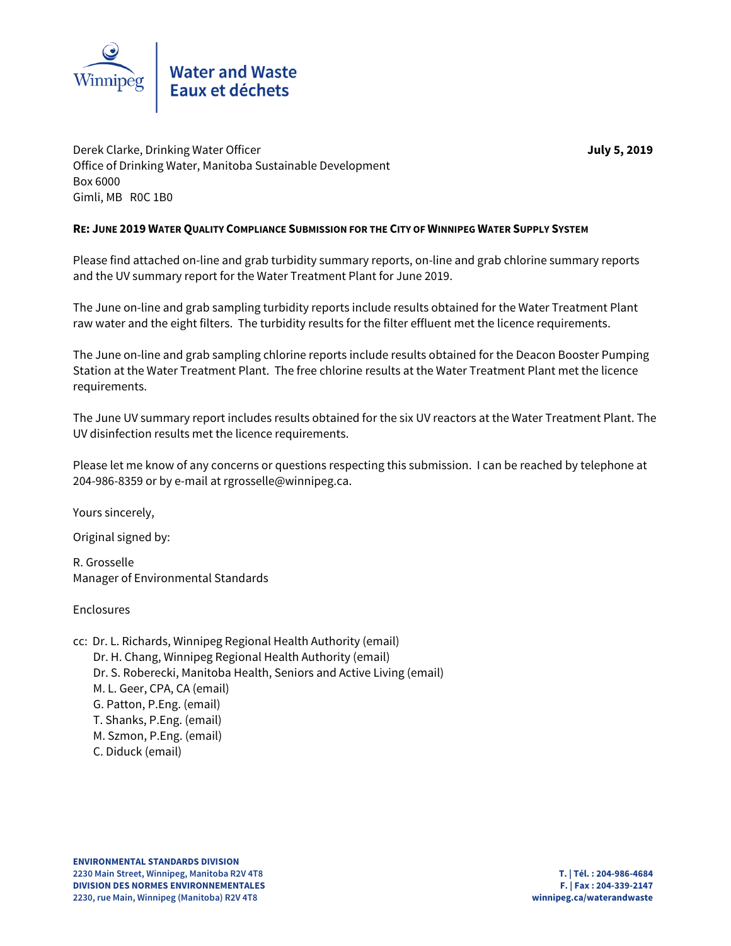

Derek Clarke, Drinking Water Officer **July 5, 2019** Office of Drinking Water, Manitoba Sustainable Development Box 6000 Gimli, MB R0C 1B0

# **RE: JUNE 2019 WATER QUALITY COMPLIANCE SUBMISSION FOR THE CITY OF WINNIPEG WATER SUPPLY SYSTEM**

Please find attached on-line and grab turbidity summary reports, on-line and grab chlorine summary reports and the UV summary report for the Water Treatment Plant for June 2019.

The June on-line and grab sampling turbidity reports include results obtained for the Water Treatment Plant raw water and the eight filters. The turbidity results for the filter effluent met the licence requirements.

The June on-line and grab sampling chlorine reports include results obtained for the Deacon Booster Pumping Station at the Water Treatment Plant. The free chlorine results at the Water Treatment Plant met the licence requirements.

The June UV summary report includes results obtained for the six UV reactors at the Water Treatment Plant. The UV disinfection results met the licence requirements.

Please let me know of any concerns or questions respecting this submission. I can be reached by telephone at 204-986-8359 or by e-mail at rgrosselle@winnipeg.ca.

Yours sincerely,

Original signed by:

R. Grosselle Manager of Environmental Standards

Enclosures

cc: Dr. L. Richards, Winnipeg Regional Health Authority (email) Dr. H. Chang, Winnipeg Regional Health Authority (email) Dr. S. Roberecki, Manitoba Health, Seniors and Active Living (email) M. L. Geer, CPA, CA (email) G. Patton, P.Eng. (email) T. Shanks, P.Eng. (email) M. Szmon, P.Eng. (email) C. Diduck (email)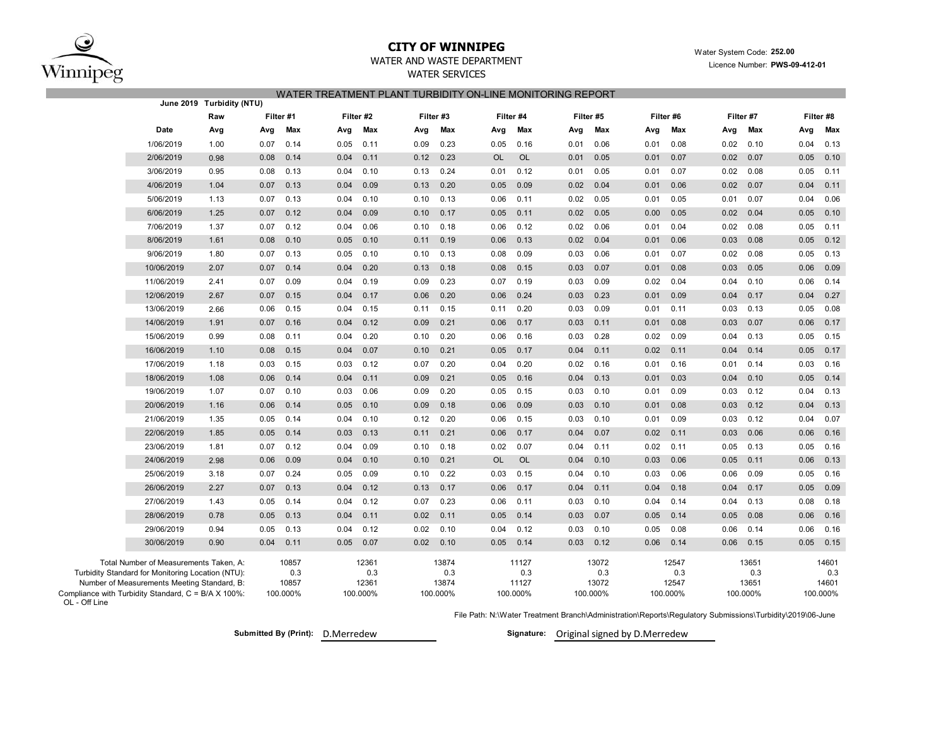

# **CITY OF WINNIPEG**

WATER AND WASTE DEPARTMENT

 Water System Code: **252.00** Licence Number: **PWS-09-412-01**

# WATER SERVICES WATER TREATMENT PLANT TURBIDITY ON-LINE MONITORING REPORT

|                                                                                                  | June 2019 Turbidity (NTU) |           |              |              |           |          |              |           |              |          |              |          |              |          |              |          |              |  |
|--------------------------------------------------------------------------------------------------|---------------------------|-----------|--------------|--------------|-----------|----------|--------------|-----------|--------------|----------|--------------|----------|--------------|----------|--------------|----------|--------------|--|
|                                                                                                  | Raw                       | Filter #1 |              |              | Filter #2 |          | Filter #3    |           | Filter #4    |          | Filter #5    |          | Filter #6    |          | Filter #7    |          | Filter #8    |  |
| Date                                                                                             | Avg                       | Avg       | Max          | Avg          | Max       | Avg      | Max          | Avg       | Max          | Avg      | Max          | Avg      | Max          | Avg      | Max          | Avg      | Max          |  |
| 1/06/2019                                                                                        | 1.00                      | 0.07      | 0.14         | 0.05         | 0.11      | 0.09     | 0.23         | 0.05      | 0.16         | 0.01     | 0.06         | 0.01     | 0.08         | 0.02     | 0.10         | 0.04     | 0.13         |  |
| 2/06/2019                                                                                        | 0.98                      | 0.08      | 0.14         | 0.04         | 0.11      | 0.12     | 0.23         | <b>OL</b> | <b>OL</b>    | 0.01     | 0.05         | 0.01     | 0.07         | 0.02     | 0.07         | 0.05     | 0.10         |  |
| 3/06/2019                                                                                        | 0.95                      | 0.08      | 0.13         | 0.04         | 0.10      | 0.13     | 0.24         | 0.01      | 0.12         | 0.01     | 0.05         | 0.01     | 0.07         | 0.02     | 0.08         | 0.05     | 0.11         |  |
| 4/06/2019                                                                                        | 1.04                      | 0.07      | 0.13         | 0.04         | 0.09      | 0.13     | 0.20         | 0.05      | 0.09         | 0.02     | 0.04         | 0.01     | 0.06         | 0.02     | 0.07         | 0.04     | 0.11         |  |
| 5/06/2019                                                                                        | 1.13                      | 0.07      | 0.13         | 0.04         | 0.10      | 0.10     | 0.13         | 0.06      | 0.11         | 0.02     | 0.05         | 0.01     | 0.05         | 0.01     | 0.07         | 0.04     | 0.06         |  |
| 6/06/2019                                                                                        | 1.25                      | 0.07      | 0.12         | 0.04         | 0.09      | 0.10     | 0.17         | 0.05      | 0.11         | 0.02     | 0.05         | 0.00     | 0.05         | 0.02     | 0.04         | 0.05     | 0.10         |  |
| 7/06/2019                                                                                        | 1.37                      | 0.07      | 0.12         | 0.04         | 0.06      | 0.10     | 0.18         | 0.06      | 0.12         | 0.02     | 0.06         | 0.01     | 0.04         | 0.02     | 0.08         | 0.05     | 0.11         |  |
| 8/06/2019                                                                                        | 1.61                      | 0.08      | 0.10         | 0.05         | 0.10      | 0.11     | 0.19         | 0.06      | 0.13         | 0.02     | 0.04         | 0.01     | 0.06         | 0.03     | 0.08         | 0.05     | 0.12         |  |
| 9/06/2019                                                                                        | 1.80                      | 0.07      | 0.13         | 0.05         | 0.10      | 0.10     | 0.13         | 0.08      | 0.09         | 0.03     | 0.06         | 0.01     | 0.07         | 0.02     | 0.08         | 0.05     | 0.13         |  |
| 10/06/2019                                                                                       | 2.07                      | 0.07      | 0.14         | 0.04         | 0.20      | 0.13     | 0.18         | 0.08      | 0.15         | 0.03     | 0.07         | 0.01     | 0.08         | 0.03     | 0.05         | 0.06     | 0.09         |  |
| 11/06/2019                                                                                       | 2.41                      | 0.07      | 0.09         | 0.04         | 0.19      | 0.09     | 0.23         | 0.07      | 0.19         | 0.03     | 0.09         | 0.02     | 0.04         | 0.04     | 0.10         | 0.06     | 0.14         |  |
| 12/06/2019                                                                                       | 2.67                      | 0.07      | 0.15         | 0.04         | 0.17      | 0.06     | 0.20         | 0.06      | 0.24         | 0.03     | 0.23         | 0.01     | 0.09         | 0.04     | 0.17         | 0.04     | 0.27         |  |
| 13/06/2019                                                                                       | 2.66                      | 0.06      | 0.15         | 0.04         | 0.15      | 0.11     | 0.15         | 0.11      | 0.20         | 0.03     | 0.09         | 0.01     | 0.11         | 0.03     | 0.13         | 0.05     | 0.08         |  |
| 14/06/2019                                                                                       | 1.91                      | 0.07      | 0.16         | 0.04         | 0.12      | 0.09     | 0.21         | 0.06      | 0.17         | 0.03     | 0.11         | 0.01     | 0.08         | 0.03     | 0.07         | 0.06     | 0.17         |  |
| 15/06/2019                                                                                       | 0.99                      | 0.08      | 0.11         | 0.04         | 0.20      | 0.10     | 0.20         | 0.06      | 0.16         | 0.03     | 0.28         | 0.02     | 0.09         | 0.04     | 0.13         | 0.05     | 0.15         |  |
| 16/06/2019                                                                                       | 1.10                      | 0.08      | 0.15         | 0.04         | 0.07      | 0.10     | 0.21         | 0.05      | 0.17         | 0.04     | 0.11         | 0.02     | 0.11         | 0.04     | 0.14         | 0.05     | 0.17         |  |
| 17/06/2019                                                                                       | 1.18                      | 0.03      | 0.15         | 0.03         | 0.12      | 0.07     | 0.20         | 0.04      | 0.20         | 0.02     | 0.16         | 0.01     | 0.16         | 0.01     | 0.14         | 0.03     | 0.16         |  |
| 18/06/2019                                                                                       | 1.08                      | 0.06      | 0.14         | 0.04         | 0.11      | 0.09     | 0.21         | 0.05      | 0.16         | 0.04     | 0.13         | 0.01     | 0.03         | 0.04     | 0.10         | 0.05     | 0.14         |  |
| 19/06/2019                                                                                       | 1.07                      | 0.07      | 0.10         | 0.03         | 0.06      | 0.09     | 0.20         | 0.05      | 0.15         | 0.03     | 0.10         | 0.01     | 0.09         | 0.03     | 0.12         | 0.04     | 0.13         |  |
| 20/06/2019                                                                                       | 1.16                      | 0.06      | 0.14         | 0.05         | 0.10      | 0.09     | 0.18         | 0.06      | 0.09         | 0.03     | 0.10         | 0.01     | 0.08         | 0.03     | 0.12         | 0.04     | 0.13         |  |
| 21/06/2019                                                                                       | 1.35                      | 0.05      | 0.14         | 0.04         | 0.10      | 0.12     | 0.20         | 0.06      | 0.15         | 0.03     | 0.10         | 0.01     | 0.09         | 0.03     | 0.12         | 0.04     | 0.07         |  |
| 22/06/2019                                                                                       | 1.85                      | 0.05      | 0.14         | 0.03         | 0.13      | 0.11     | 0.21         | 0.06      | 0.17         | 0.04     | 0.07         | 0.02     | 0.11         | 0.03     | 0.06         | 0.06     | 0.16         |  |
| 23/06/2019                                                                                       | 1.81                      | 0.07      | 0.12         | 0.04         | 0.09      | 0.10     | 0.18         | 0.02      | 0.07         | 0.04     | 0.11         | 0.02     | 0.11         | 0.05     | 0.13         | 0.05     | 0.16         |  |
| 24/06/2019                                                                                       | 2.98                      | 0.06      | 0.09         | 0.04         | 0.10      | 0.10     | 0.21         | <b>OL</b> | <b>OL</b>    | 0.04     | 0.10         | 0.03     | 0.06         | 0.05     | 0.11         | 0.06     | 0.13         |  |
| 25/06/2019                                                                                       | 3.18                      | 0.07      | 0.24         | 0.05         | 0.09      | 0.10     | 0.22         | 0.03      | 0.15         | 0.04     | 0.10         | 0.03     | 0.06         | 0.06     | 0.09         | 0.05     | 0.16         |  |
| 26/06/2019                                                                                       | 2.27                      | 0.07      | 0.13         | 0.04         | 0.12      | 0.13     | 0.17         | 0.06      | 0.17         | 0.04     | 0.11         | 0.04     | 0.18         | 0.04     | 0.17         | 0.05     | 0.09         |  |
| 27/06/2019                                                                                       | 1.43                      | 0.05      | 0.14         | 0.04         | 0.12      | 0.07     | 0.23         | 0.06      | 0.11         | 0.03     | 0.10         | 0.04     | 0.14         | 0.04     | 0.13         | 0.08     | 0.18         |  |
| 28/06/2019                                                                                       | 0.78                      | 0.05      | 0.13         | 0.04         | 0.11      | 0.02     | 0.11         | 0.05      | 0.14         | 0.03     | 0.07         | 0.05     | 0.14         | 0.05     | 0.08         | 0.06     | 0.16         |  |
| 29/06/2019                                                                                       | 0.94                      | 0.05      | 0.13         | 0.04         | 0.12      | 0.02     | 0.10         | 0.04      | 0.12         | 0.03     | 0.10         | 0.05     | 0.08         | 0.06     | 0.14         | 0.06     | 0.16         |  |
| 30/06/2019                                                                                       | 0.90                      | 0.04      | 0.11         | 0.05         | 0.07      | 0.02     | 0.10         | 0.05      | 0.14         | 0.03     | 0.12         | 0.06     | 0.14         | 0.06     | 0.15         | 0.05     | 0.15         |  |
| Total Number of Measurements Taken, A:                                                           |                           |           | 10857        |              | 12361     |          | 13874        |           | 11127        |          | 13072        |          | 12547        |          | 13651        |          | 14601        |  |
| Turbidity Standard for Monitoring Location (NTU):<br>Number of Measurements Meeting Standard, B: |                           |           | 0.3<br>10857 | 0.3<br>12361 |           |          | 0.3<br>13874 |           | 0.3<br>11127 |          | 0.3<br>13072 |          | 0.3<br>12547 |          | 0.3<br>13651 |          | 0.3<br>14601 |  |
| Compliance with Turbidity Standard, C = B/A X 100%:<br>OL - Off Line                             |                           | 100.000%  |              | 100.000%     |           | 100.000% |              | 100.000%  |              | 100.000% |              | 100.000% |              | 100.000% |              | 100.000% |              |  |

File Path: N:\Water Treatment Branch\Administration\Reports\Regulatory Submissions\Turbidity\2019\06-June

Submitted By (Print): D.Merredew **Disk and Submitted By D.Merredew Criginal signed by D.Merredew**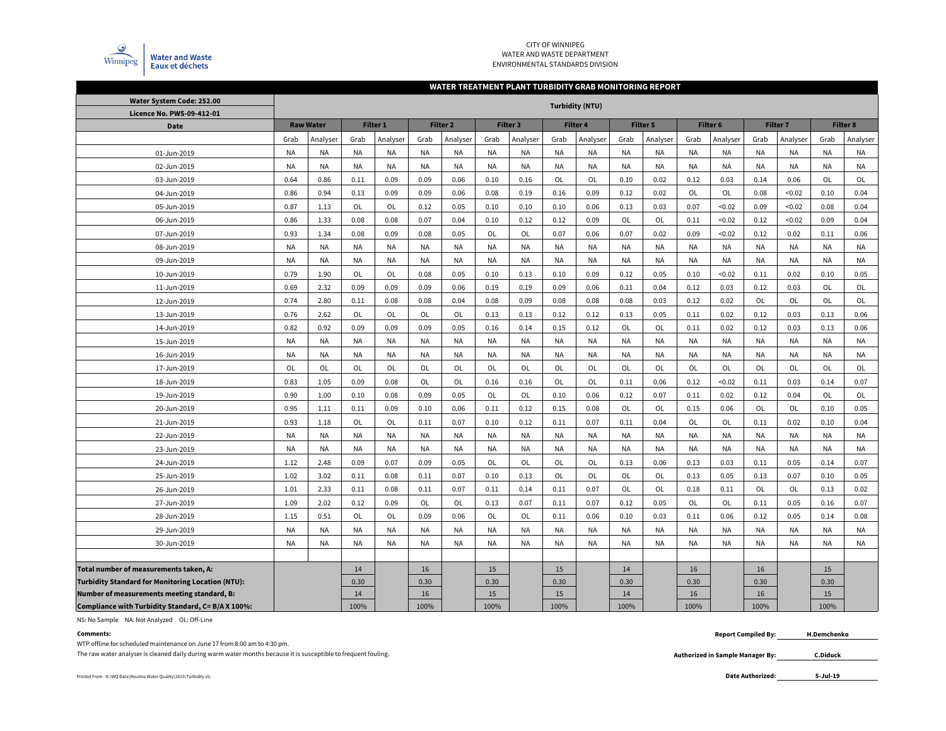

## CITY OF WINNIPEG WATER AND WASTE DEPARTMENTENVIRONMENTAL STANDARDS DIVISION

#### **WATER TREATMENT PLANT TURBIDITY GRAB MONITORING REPORT**

| Water System Code: 252.00                                | <b>Turbidity (NTU)</b> |                  |           |           |           |                     |           |           |           |          |           |                 |           |           |                 |           |                 |           |
|----------------------------------------------------------|------------------------|------------------|-----------|-----------|-----------|---------------------|-----------|-----------|-----------|----------|-----------|-----------------|-----------|-----------|-----------------|-----------|-----------------|-----------|
| Licence No. PWS-09-412-01                                |                        |                  |           |           |           |                     |           |           |           |          |           |                 |           |           |                 |           |                 |           |
| <b>Date</b>                                              |                        | <b>Raw Water</b> |           | Filter 1  |           | Filter <sub>2</sub> |           | Filter 3  |           | Filter 4 |           | <b>Filter 5</b> | Filter 6  |           | <b>Filter 7</b> |           | <b>Filter 8</b> |           |
|                                                          | Grab                   | Analyser         | Grab      | Analyser  | Grab      | Analyser            | Grab      | Analyser  | Grab      | Analyser | Grab      | Analyser        | Grab      | Analyser  | Grab            | Analyser  | Grab            | Analyser  |
| 01-Jun-2019                                              | <b>NA</b>              | <b>NA</b>        | <b>NA</b> | ΝA        | <b>NA</b> | <b>NA</b>           | <b>NA</b> | NA        | <b>NA</b> | NA       | <b>NA</b> | NA              | <b>NA</b> | <b>NA</b> | <b>NA</b>       | <b>NA</b> | <b>NA</b>       | <b>NA</b> |
| 02-Jun-2019                                              | <b>NA</b>              | NA               | <b>NA</b> | <b>NA</b> | <b>NA</b> | <b>NA</b>           | <b>NA</b> | NA        | <b>NA</b> | NA       | NA        | NA              | NA        | <b>NA</b> | <b>NA</b>       | <b>NA</b> | <b>NA</b>       | NA        |
| 03-Jun-2019                                              | 0.64                   | 0.86             | 0.11      | 0.09      | 0.09      | 0.06                | 0.10      | 0.16      | OL        | OL       | 0.10      | 0.02            | 0.12      | 0.03      | 0.14            | 0.06      | OL              | OL        |
| 04-Jun-2019                                              | 0.86                   | 0.94             | 0.13      | 0.09      | 0.09      | 0.06                | 0.08      | 0.19      | 0.16      | 0.09     | 0.12      | 0.02            | OL        | OL        | 0.08            | < 0.02    | 0.10            | 0.04      |
| 05-Jun-2019                                              | 0.87                   | 1.13             | OL        | OL        | 0.12      | 0.05                | 0.10      | 0.10      | 0.10      | 0.06     | 0.13      | 0.03            | 0.07      | < 0.02    | 0.09            | < 0.02    | 0.08            | 0.04      |
| 06-Jun-2019                                              | 0.86                   | 1.33             | 0.08      | 0.08      | 0.07      | 0.04                | 0.10      | 0.12      | 0.12      | 0.09     | OL        | OL              | 0.11      | < 0.02    | 0.12            | < 0.02    | 0.09            | 0.04      |
| 07-Jun-2019                                              | 0.93                   | 1.34             | 0.08      | 0.09      | 0.08      | 0.05                | OL        | OL        | 0.07      | 0.06     | 0.07      | 0.02            | 0.09      | < 0.02    | 0.12            | 0.02      | 0.11            | 0.06      |
| 08-Jun-2019                                              | <b>NA</b>              | <b>NA</b>        | <b>NA</b> | <b>NA</b> | <b>NA</b> | <b>NA</b>           | <b>NA</b> | <b>NA</b> | <b>NA</b> | NA       | <b>NA</b> | <b>NA</b>       | <b>NA</b> | <b>NA</b> | <b>NA</b>       | <b>NA</b> | <b>NA</b>       | <b>NA</b> |
| 09-Jun-2019                                              | <b>NA</b>              | <b>NA</b>        | <b>NA</b> | <b>NA</b> | <b>NA</b> | <b>NA</b>           | <b>NA</b> | <b>NA</b> | <b>NA</b> | NA       | <b>NA</b> | <b>NA</b>       | NA        | <b>NA</b> | <b>NA</b>       | <b>NA</b> | <b>NA</b>       | NA        |
| 10-Jun-2019                                              | 0.79                   | 1.90             | OL        | OL        | 0.08      | 0.05                | 0.10      | 0.13      | 0.10      | 0.09     | 0.12      | 0.05            | 0.10      | < 0.02    | 0.11            | 0.02      | 0.10            | 0.05      |
| 11-Jun-2019                                              | 0.69                   | 2.32             | 0.09      | 0.09      | 0.09      | 0.06                | 0.19      | 0.19      | 0.09      | 0.06     | 0.11      | 0.04            | 0.12      | 0.03      | 0.12            | 0.03      | OL              | OL        |
| 12-Jun-2019                                              | 0.74                   | 2.80             | 0.11      | 0.08      | 0.08      | 0.04                | 0.08      | 0.09      | 0.08      | 0.08     | 0.08      | 0.03            | 0.12      | 0.02      | OL              | OL        | OL              | OL        |
| 13-Jun-2019                                              | 0.76                   | 2.62             | OL        | OL        | OL        | OL                  | 0.13      | 0.13      | 0.12      | 0.12     | 0.13      | 0.05            | 0.11      | 0.02      | 0.12            | 0.03      | 0.13            | 0.06      |
| 14-Jun-2019                                              | 0.82                   | 0.92             | 0.09      | 0.09      | 0.09      | 0.05                | 0.16      | 0.14      | 0.15      | 0.12     | OL        | <b>OL</b>       | 0.11      | 0.02      | 0.12            | 0.03      | 0.13            | 0.06      |
| 15-Jun-2019                                              | <b>NA</b>              | NA               | <b>NA</b> | <b>NA</b> | <b>NA</b> | <b>NA</b>           | <b>NA</b> | <b>NA</b> | <b>NA</b> | NA       | NA        | <b>NA</b>       | <b>NA</b> | <b>NA</b> | <b>NA</b>       | <b>NA</b> | <b>NA</b>       | <b>NA</b> |
| 16-Jun-2019                                              | <b>NA</b>              | <b>NA</b>        | <b>NA</b> | <b>NA</b> | <b>NA</b> | <b>NA</b>           | <b>NA</b> | <b>NA</b> | <b>NA</b> | NA       | <b>NA</b> | <b>NA</b>       | NA        | <b>NA</b> | <b>NA</b>       | <b>NA</b> | <b>NA</b>       | <b>NA</b> |
| 17-Jun-2019                                              | OL                     | OL               | OL        | OL        | OL        | OL                  | OL        | OL        | OL        | OL       | <b>OL</b> | OL              | OL        | OL        | OL              | OL        | OL              | OL        |
| 18-Jun-2019                                              | 0.83                   | 1.05             | 0.09      | 0.08      | OL        | OL                  | 0.16      | 0.16      | OL        | OL       | 0.11      | 0.06            | 0.12      | < 0.02    | 0.11            | 0.03      | 0.14            | 0.07      |
| 19-Jun-2019                                              | 0.90                   | 1.00             | 0.10      | 0.08      | 0.09      | 0.05                | OL        | OL        | 0.10      | 0.06     | 0.12      | 0.07            | 0.11      | 0.02      | 0.12            | 0.04      | OL              | OL        |
| 20-Jun-2019                                              | 0.95                   | 1.11             | 0.11      | 0.09      | 0.10      | 0.06                | 0.11      | 0.12      | 0.15      | 0.08     | OL        | OL              | 0.15      | 0.06      | OL              | OL        | 0.10            | 0.05      |
| 21-Jun-2019                                              | 0.93                   | 1.18             | OL        | OL        | 0.11      | 0.07                | 0.10      | 0.12      | 0.11      | 0.07     | 0.11      | 0.04            | OL        | OL        | 0.11            | 0.02      | 0.10            | 0.04      |
| 22-Jun-2019                                              | <b>NA</b>              | <b>NA</b>        | <b>NA</b> | <b>NA</b> | <b>NA</b> | <b>NA</b>           | <b>NA</b> | <b>NA</b> | <b>NA</b> | NA       | <b>NA</b> | <b>NA</b>       | <b>NA</b> | <b>NA</b> | <b>NA</b>       | <b>NA</b> | <b>NA</b>       | <b>NA</b> |
| 23-Jun-2019                                              | <b>NA</b>              | NA               | <b>NA</b> | <b>NA</b> | <b>NA</b> | <b>NA</b>           | NA        | NA        | <b>NA</b> | NA       | NA        | <b>NA</b>       | <b>NA</b> | <b>NA</b> | <b>NA</b>       | NA        | <b>NA</b>       | <b>NA</b> |
| 24-Jun-2019                                              | 1.12                   | 2.48             | 0.09      | 0.07      | 0.09      | 0.05                | OL        | OL        | OL        | OL       | 0.13      | 0.06            | 0.13      | 0.03      | 0.11            | 0.05      | 0.14            | 0.07      |
| 25-Jun-2019                                              | 1.02                   | 3.02             | 0.11      | 0.08      | 0.11      | 0.07                | 0.10      | 0.13      | <b>OL</b> | OL       | <b>OL</b> | <b>OL</b>       | 0.13      | 0.05      | 0.13            | 0.07      | 0.10            | 0.05      |
| 26-Jun-2019                                              | 1.01                   | 2.33             | 0.11      | 0.08      | 0.11      | 0.07                | 0.11      | 0.14      | 0.11      | 0.07     | <b>OL</b> | <b>OL</b>       | 0.18      | 0.11      | OL              | <b>OL</b> | 0.13            | 0.02      |
| 27-Jun-2019                                              | 1.09                   | 2.02             | 0.12      | 0.09      | OL        | OL                  | 0.13      | 0.07      | 0.11      | 0.07     | 0.12      | 0.05            | OL        | OL        | 0.11            | 0.05      | 0.16            | 0.07      |
| 28-Jun-2019                                              | 1.15                   | 0.51             | OL        | OL        | 0.09      | 0.06                | OL        | OL        | 0.11      | 0.06     | 0.10      | 0.03            | 0.11      | 0.06      | 0.12            | 0.05      | 0.14            | 0.08      |
| 29-Jun-2019                                              | <b>NA</b>              | <b>NA</b>        | <b>NA</b> | <b>NA</b> | <b>NA</b> | <b>NA</b>           | <b>NA</b> | <b>NA</b> | <b>NA</b> | NA       | <b>NA</b> | <b>NA</b>       | <b>NA</b> | <b>NA</b> | <b>NA</b>       | <b>NA</b> | <b>NA</b>       | <b>NA</b> |
| 30-Jun-2019                                              | <b>NA</b>              | <b>NA</b>        | <b>NA</b> | <b>NA</b> | <b>NA</b> | <b>NA</b>           | <b>NA</b> | <b>NA</b> | <b>NA</b> | NA       | <b>NA</b> | <b>NA</b>       | <b>NA</b> | <b>NA</b> | <b>NA</b>       | NA        | <b>NA</b>       | <b>NA</b> |
|                                                          |                        |                  |           |           |           |                     |           |           |           |          |           |                 |           |           |                 |           |                 |           |
| Total number of measurements taken, A:                   |                        |                  | 14        |           | 16        |                     | 15        |           | 15        |          | 14        |                 | 16        |           | 16              |           | 15              |           |
| <b>Turbidity Standard for Monitoring Location (NTU):</b> |                        |                  | 0.30      |           | 0.30      |                     | 0.30      |           | 0.30      |          | 0.30      |                 | 0.30      |           | 0.30            |           | 0.30            |           |
| Number of measurements meeting standard, B:              |                        |                  | 14        |           | 16        |                     | 15        |           | 15        |          | 14        |                 | 16        |           | 16              |           | 15              |           |
| Compliance with Turbidity Standard, C= B/A X 100%:       |                        |                  | 100%      |           | 100%      |                     | 100%      |           | 100%      |          | 100%      |                 | 100%      |           | 100%            |           | 100%            |           |

NS: No Sample NA: Not Analyzed OL: Off-Line

## **Comments:**

WTP offline for scheduled maintenance on June 17 from 8:00 am to 4:30 pm.

The raw water analyser is cleaned daily during warm water months because it is susceptible to frequent fouling.

Printed From : N:\WQ Data\Routine Water Quality\2015\Turbidity.xls **Date Authorized:** 

 **Report Compiled By: H.Demchenko**

**Authorized in Sample Manager By:**

**5-Jul-19**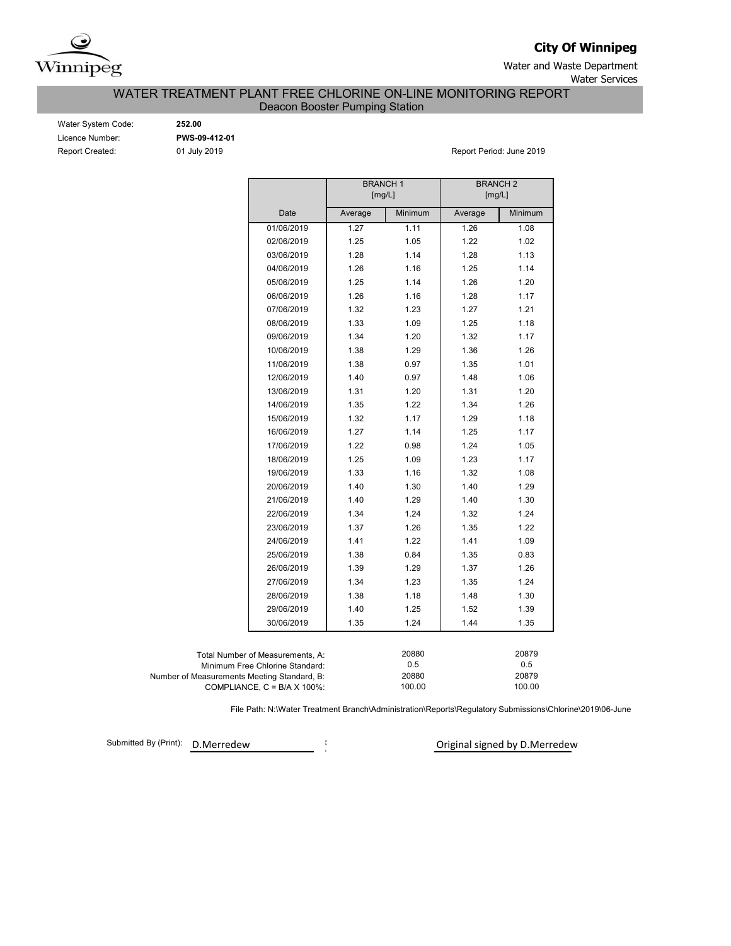

**City Of Winnipeg**

Water and Waste Department Water Services

WATER TREATMENT PLANT FREE CHLORINE ON-LINE MONITORING REPORT

Deacon Booster Pumping Station

| Water System Code: |
|--------------------|
| Licence Number:    |
| Report Created:    |

Water System Code: **252.00** Licence Number: **PWS-09-412-01**

01 July 2019 **Report Period: June 2019** 

|                                             |                                      | <b>BRANCH1</b><br>[mg/L]           |         | <b>BRANCH 2</b><br>[mg/L] |         |  |  |  |  |  |
|---------------------------------------------|--------------------------------------|------------------------------------|---------|---------------------------|---------|--|--|--|--|--|
|                                             | Date                                 | Average                            | Minimum | Average                   | Minimum |  |  |  |  |  |
|                                             | 01/06/2019                           | 1.27                               | 1.11    | 1.26                      | 1.08    |  |  |  |  |  |
|                                             | 02/06/2019                           | 1.25                               | 1.05    | 1.22                      | 1.02    |  |  |  |  |  |
|                                             | 03/06/2019                           | 1.28                               | 1.14    | 1.28                      | 1.13    |  |  |  |  |  |
|                                             | 04/06/2019                           | 1.26                               | 1.16    | 1.25                      | 1.14    |  |  |  |  |  |
|                                             | 05/06/2019                           | 1.25                               | 1.14    | 1.26                      | 1.20    |  |  |  |  |  |
|                                             | 06/06/2019                           | 1.26                               | 1.16    | 1.28                      | 1.17    |  |  |  |  |  |
|                                             | 07/06/2019                           | 1.32                               | 1.23    | 1.27                      | 1.21    |  |  |  |  |  |
|                                             | 08/06/2019                           | 1.33                               | 1.09    | 1.25                      | 1.18    |  |  |  |  |  |
|                                             | 09/06/2019                           | 1.34                               | 1.20    | 1.32                      | 1.17    |  |  |  |  |  |
|                                             | 10/06/2019                           | 1.38                               | 1.29    | 1.36                      | 1.26    |  |  |  |  |  |
|                                             | 11/06/2019                           | 1.38                               | 0.97    | 1.35                      | 1.01    |  |  |  |  |  |
|                                             | 12/06/2019                           | 1.40                               | 0.97    | 1.48                      | 1.06    |  |  |  |  |  |
|                                             | 13/06/2019                           | 1.31                               | 1.20    | 1.31                      | 1.20    |  |  |  |  |  |
|                                             | 14/06/2019                           | 1.35                               | 1.22    | 1.34                      | 1.26    |  |  |  |  |  |
|                                             | 15/06/2019                           | 1.32                               | 1.17    | 1.29                      | 1.18    |  |  |  |  |  |
|                                             | 16/06/2019                           | 1.27                               | 1.14    | 1.25                      | 1.17    |  |  |  |  |  |
|                                             | 17/06/2019                           | 1.22                               | 0.98    | 1.24                      | 1.05    |  |  |  |  |  |
|                                             | 18/06/2019                           | 1.25                               | 1.09    | 1.23                      | 1.17    |  |  |  |  |  |
|                                             | 19/06/2019                           | 1.33                               | 1.16    | 1.32                      | 1.08    |  |  |  |  |  |
|                                             | 20/06/2019                           | 1.40                               | 1.30    | 1.40                      | 1.29    |  |  |  |  |  |
|                                             | 21/06/2019                           | 1.40                               | 1.29    | 1.40                      | 1.30    |  |  |  |  |  |
|                                             | 22/06/2019                           | 1.34                               | 1.24    | 1.32                      | 1.24    |  |  |  |  |  |
|                                             | 23/06/2019                           | 1.37                               | 1.26    | 1.35                      | 1.22    |  |  |  |  |  |
|                                             | 24/06/2019                           | 1.41                               | 1.22    | 1.41                      | 1.09    |  |  |  |  |  |
|                                             | 25/06/2019                           | 1.38                               | 0.84    | 1.35                      | 0.83    |  |  |  |  |  |
|                                             | 26/06/2019                           | 1.39                               | 1.29    | 1.37                      | 1.26    |  |  |  |  |  |
|                                             | 27/06/2019                           | 1.34                               | 1.23    | 1.35                      | 1.24    |  |  |  |  |  |
|                                             | 28/06/2019                           | 1.38                               | 1.18    | 1.48                      | 1.30    |  |  |  |  |  |
|                                             | 29/06/2019                           | 1.40                               | 1.25    | 1.52                      | 1.39    |  |  |  |  |  |
|                                             | 30/06/2019                           | 1.35                               | 1.24    | 1.44                      | 1.35    |  |  |  |  |  |
|                                             |                                      |                                    |         |                           |         |  |  |  |  |  |
|                                             | Total Number of Measurements, A:     |                                    | 20880   |                           | 20879   |  |  |  |  |  |
|                                             | Minimum Free Chlorine Standard:      |                                    | 0.5     |                           | 0.5     |  |  |  |  |  |
| Number of Measurements Meeting Standard, B: | COMPLIANCE, $C = B/A \times 100\%$ : | 20880<br>20879<br>100.00<br>100.00 |         |                           |         |  |  |  |  |  |

File Path: N:\Water Treatment Branch\Administration\Reports\Regulatory Submissions\Chlorine\2019\06-June

Submitted By (Print): D.Merredew  $\frac{1}{2}$ 

<sup>i</sup> Original signed by D.Merredew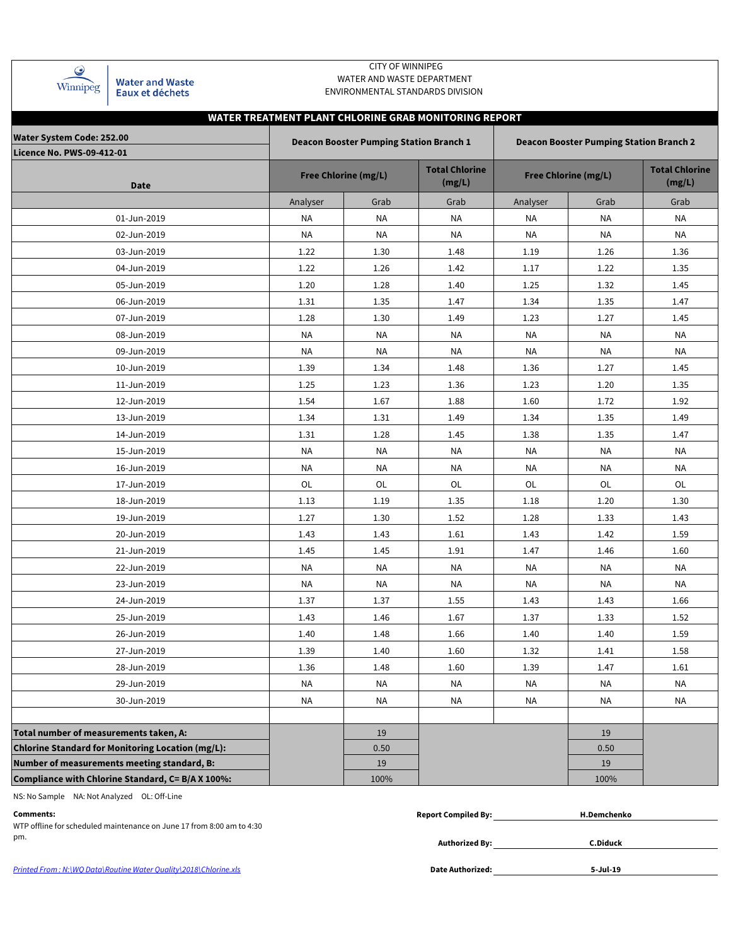| Winnipeg |  |
|----------|--|

**Water and Waste** Eaux et déchets

## CITY OF WINNIPEG WATER AND WASTE DEPARTMENT ENVIRONMENTAL STANDARDS DIVISION

# **WATER TREATMENT PLANT CHLORINE GRAB MONITORING REPORT**

| Water System Code: 252.00                                |           | <b>Deacon Booster Pumping Station Branch 1</b> |                                 | <b>Deacon Booster Pumping Station Branch 2</b> |                                 |           |  |  |  |  |  |
|----------------------------------------------------------|-----------|------------------------------------------------|---------------------------------|------------------------------------------------|---------------------------------|-----------|--|--|--|--|--|
| Licence No. PWS-09-412-01                                |           |                                                |                                 |                                                |                                 |           |  |  |  |  |  |
| Date                                                     |           | <b>Free Chlorine (mg/L)</b>                    | <b>Total Chlorine</b><br>(mg/L) | <b>Free Chlorine (mg/L)</b>                    | <b>Total Chlorine</b><br>(mg/L) |           |  |  |  |  |  |
|                                                          | Analyser  | Grab                                           | Grab                            | Analyser                                       | Grab                            | Grab      |  |  |  |  |  |
| 01-Jun-2019                                              | ΝA        | <b>NA</b>                                      | NA                              | NA                                             | NA                              | <b>NA</b> |  |  |  |  |  |
| 02-Jun-2019                                              | <b>NA</b> | <b>NA</b>                                      | <b>NA</b>                       | <b>NA</b>                                      | <b>NA</b>                       | <b>NA</b> |  |  |  |  |  |
| 03-Jun-2019                                              | 1.22      | 1.30                                           | 1.48                            | 1.19                                           | 1.26                            | 1.36      |  |  |  |  |  |
| 04-Jun-2019                                              | 1.22      | 1.26                                           | 1.42                            | 1.17                                           | 1.22                            | 1.35      |  |  |  |  |  |
| 05-Jun-2019                                              | 1.20      | 1.28                                           | 1.40                            | 1.25                                           | 1.32                            | 1.45      |  |  |  |  |  |
| 06-Jun-2019                                              | 1.31      | 1.35                                           | 1.47                            | 1.34                                           | 1.35                            | 1.47      |  |  |  |  |  |
| 07-Jun-2019                                              | 1.28      | 1.30                                           | 1.49                            | 1.23                                           | 1.27                            | 1.45      |  |  |  |  |  |
| 08-Jun-2019                                              | NA        | <b>NA</b>                                      | NA                              | NA                                             | NA                              | NA        |  |  |  |  |  |
| 09-Jun-2019                                              | NA        | NA                                             | ΝA                              | NA                                             | NA                              | ΝA        |  |  |  |  |  |
| 10-Jun-2019                                              | 1.39      | 1.34                                           | 1.48                            | 1.36                                           | 1.27                            | 1.45      |  |  |  |  |  |
| 11-Jun-2019                                              | 1.25      | 1.23                                           | 1.36                            | 1.23                                           | 1.20                            | 1.35      |  |  |  |  |  |
| 12-Jun-2019                                              | 1.54      | 1.67                                           | 1.88                            | 1.60                                           | 1.72                            | 1.92      |  |  |  |  |  |
| 13-Jun-2019                                              | 1.34      | 1.31                                           | 1.49                            | 1.34                                           | 1.35                            | 1.49      |  |  |  |  |  |
| 14-Jun-2019                                              | 1.31      | 1.28                                           | 1.45                            | 1.38                                           | 1.35                            | 1.47      |  |  |  |  |  |
| 15-Jun-2019                                              | NA        | <b>NA</b>                                      | NA                              | NA                                             | NA                              | <b>NA</b> |  |  |  |  |  |
| 16-Jun-2019                                              | NA        | <b>NA</b>                                      | NA                              | NA                                             | NA                              | NA        |  |  |  |  |  |
| 17-Jun-2019                                              | OL        | OL                                             | OL                              | OL                                             | OL                              | OL        |  |  |  |  |  |
| 18-Jun-2019                                              | 1.13      | 1.19                                           | 1.35                            | 1.18                                           | 1.20                            | 1.30      |  |  |  |  |  |
| 19-Jun-2019                                              | 1.27      | 1.30                                           | 1.52                            | 1.28                                           | 1.33                            | 1.43      |  |  |  |  |  |
| 20-Jun-2019                                              | 1.43      | 1.43                                           | 1.61                            | 1.43                                           | 1.42                            | 1.59      |  |  |  |  |  |
| 21-Jun-2019                                              | 1.45      | 1.45                                           | 1.91                            | 1.47                                           | 1.46                            | 1.60      |  |  |  |  |  |
| 22-Jun-2019                                              | NA        | NA                                             | ΝA                              | ΝA                                             | NA                              | NA        |  |  |  |  |  |
| 23-Jun-2019                                              | NA        | NA                                             | NA                              | NA                                             | NA                              | ΝA        |  |  |  |  |  |
| 24-Jun-2019                                              | 1.37      | 1.37                                           | 1.55                            | 1.43                                           | 1.43                            | 1.66      |  |  |  |  |  |
| 25-Jun-2019                                              | 1.43      | 1.46                                           | 1.67                            | 1.37                                           | 1.33                            | 1.52      |  |  |  |  |  |
| 26-Jun-2019                                              | 1.40      | 1.48                                           | 1.66                            | 1.40                                           | 1.40                            | 1.59      |  |  |  |  |  |
| 27-Jun-2019                                              | 1.39      | 1.40                                           | 1.60                            | 1.32                                           | 1.41                            | 1.58      |  |  |  |  |  |
| 28-Jun-2019                                              | 1.36      | 1.48                                           | 1.60                            | 1.39                                           | 1.47                            | 1.61      |  |  |  |  |  |
| 29-Jun-2019                                              | NA        | <b>NA</b>                                      | <b>NA</b>                       | NA                                             | NA                              | <b>NA</b> |  |  |  |  |  |
| 30-Jun-2019                                              | <b>NA</b> | NA                                             | <b>NA</b>                       | <b>NA</b>                                      | <b>NA</b>                       | <b>NA</b> |  |  |  |  |  |
|                                                          |           |                                                |                                 |                                                |                                 |           |  |  |  |  |  |
| Total number of measurements taken, A:                   |           | 19                                             |                                 |                                                | 19                              |           |  |  |  |  |  |
| <b>Chlorine Standard for Monitoring Location (mg/L):</b> |           | 0.50                                           |                                 |                                                | 0.50                            |           |  |  |  |  |  |
| Number of measurements meeting standard, B:              |           | 19                                             |                                 |                                                | 19                              |           |  |  |  |  |  |
| Compliance with Chlorine Standard, C= B/A X 100%:        |           | 100%                                           |                                 |                                                | 100%                            |           |  |  |  |  |  |

NS: No Sample NA: Not Analyzed OL: Off-Line

**Authorized By:** pm. **C.Diduck** WTP offline for scheduled maintenance on June 17 from 8:00 am to 4:30

| Comments: | .Compiled Bv:<br>Renort | .Demchenkr |
|-----------|-------------------------|------------|
|           |                         |            |

Printed From : N:\WQ Data\Routine Water Quality\2018\Chlorine.xls **Date Authorized: Date Authorized:** 

**5-Jul-19**